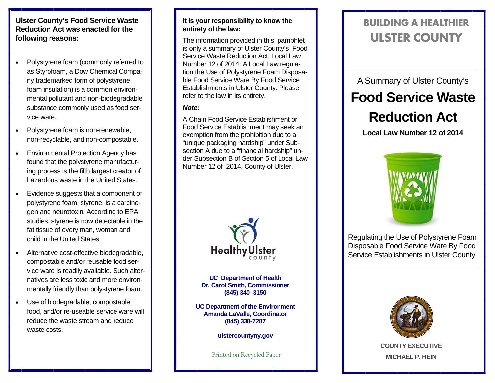#### **Ulster County's Food Service Waste Reduction Act was enacted for the following reasons:**

- $\bullet$  Polystyrene foam (commonly referred to as Styrofoam, a Dow Chemical Company trademarked form of polystyrene foam insulation) is a common environmental pollutant and non-biodegradable substance commonly used as food service ware.
- $\bullet$  Polystyrene foam is non-renewable, non-recyclable, and non-compostable.
- $\bullet$  Environmental Protection Agency has found that the polystyrene manufacturing process is the fifth largest creator of hazardous waste in the United States.
- $\bullet$  Evidence suggests that a component of polystyrene foam, styrene, is a carcinogen and neurotoxin. According to EPA studies, styrene is now detectable in the fat tissue of every man, woman and child in the United States.
- $\bullet$  Alternative cost-effective biodegradable, compostable and/or reusable food service ware is readily available. Such alternatives are less toxic and more environmentally friendly than polystyrene foam.
- $\bullet$  Use of biodegradable, compostable food, and/or re-useable service ware will reduce the waste stream and reduce waste costs.

#### **It is your responsibility to know the entirety of the law:**

The information provided in this pamphlet is only a summary of Ulster County's Food Service Waste Reduction Act, Local Law Number 12 of 2014: A Local Law regulation the Use of Polystyrene Foam Disposable Food Service Ware By Food Service Establishments in Ulster County. Please refer to the law in its entirety.

#### *Note:*

A Chain Food Service Establishment or Food Service Establishment may seek an exemption from the prohibition due to a "unique packaging hardship" under Subsection A due to a "financial hardship" under Subsection B of Section 5 of Local Law Number 12 of 2014, County of Ulster.



**UC Department of Health Dr. Carol Smith, Commissioner (845) 340–3150** 

**UC Department of the Environment Amanda LaValle, Coordinator (845) 338-7287** 

**ulstercountyny.gov** 

Printed on Recycled Paper

# **BUILDING A HEALTHIER ULSTER COUNTY**

A Summary of Ulster County's

# **Food Service Waste Reduction Act**

**Local Law Number 12 of 2014** 



Regulating the Use of Polystyrene Foam Disposable Food Service Ware By Food Service Establishments in Ulster County



**COUNTY EXECUTIVEMICHAEL P. HEIN**